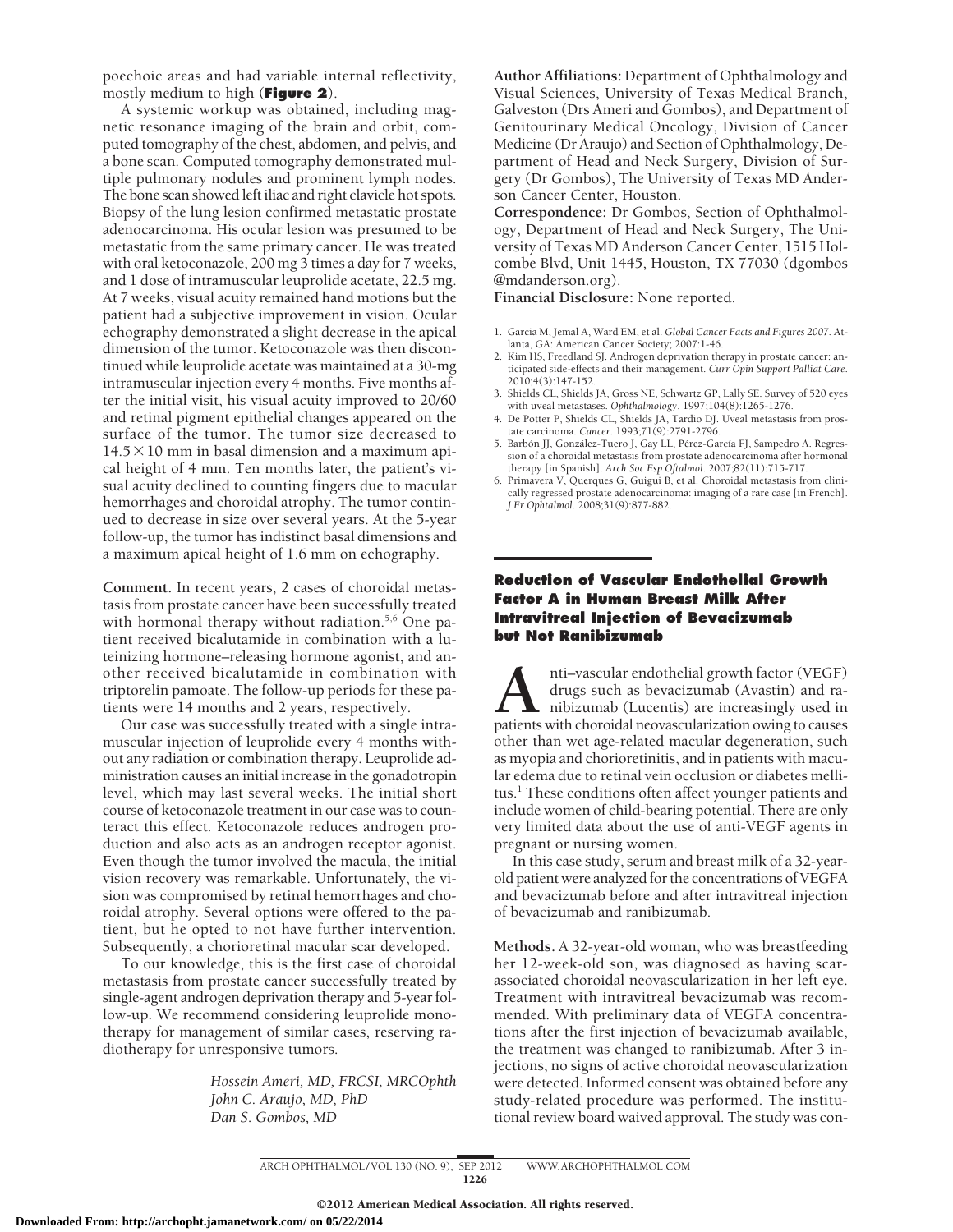poechoic areas and had variable internal reflectivity, mostly medium to high (**Figure 2**).

A systemic workup was obtained, including magnetic resonance imaging of the brain and orbit, computed tomography of the chest, abdomen, and pelvis, and a bone scan. Computed tomography demonstrated multiple pulmonary nodules and prominent lymph nodes. The bone scan showed left iliac and right clavicle hot spots. Biopsy of the lung lesion confirmed metastatic prostate adenocarcinoma. His ocular lesion was presumed to be metastatic from the same primary cancer. He was treated with oral ketoconazole, 200 mg 3 times a day for 7 weeks, and 1 dose of intramuscular leuprolide acetate, 22.5 mg. At 7 weeks, visual acuity remained hand motions but the patient had a subjective improvement in vision. Ocular echography demonstrated a slight decrease in the apical dimension of the tumor. Ketoconazole was then discontinued while leuprolide acetate was maintained at a 30-mg intramuscular injection every 4 months. Five months after the initial visit, his visual acuity improved to 20/60 and retinal pigment epithelial changes appeared on the surface of the tumor. The tumor size decreased to  $14.5 \times 10$  mm in basal dimension and a maximum apical height of 4 mm. Ten months later, the patient's visual acuity declined to counting fingers due to macular hemorrhages and choroidal atrophy. The tumor continued to decrease in size over several years. At the 5-year follow-up, the tumor has indistinct basal dimensions and a maximum apical height of 1.6 mm on echography.

**Comment.** In recent years, 2 cases of choroidal metastasis from prostate cancer have been successfully treated with hormonal therapy without radiation.<sup>5,6</sup> One patient received bicalutamide in combination with a luteinizing hormone–releasing hormone agonist, and another received bicalutamide in combination with triptorelin pamoate. The follow-up periods for these patients were 14 months and 2 years, respectively.

Our case was successfully treated with a single intramuscular injection of leuprolide every 4 months without any radiation or combination therapy. Leuprolide administration causes an initial increase in the gonadotropin level, which may last several weeks. The initial short course of ketoconazole treatment in our case was to counteract this effect. Ketoconazole reduces androgen production and also acts as an androgen receptor agonist. Even though the tumor involved the macula, the initial vision recovery was remarkable. Unfortunately, the vision was compromised by retinal hemorrhages and choroidal atrophy. Several options were offered to the patient, but he opted to not have further intervention. Subsequently, a chorioretinal macular scar developed.

To our knowledge, this is the first case of choroidal metastasis from prostate cancer successfully treated by single-agent androgen deprivation therapy and 5-year follow-up. We recommend considering leuprolide monotherapy for management of similar cases, reserving radiotherapy for unresponsive tumors.

> *Hossein Ameri, MD, FRCSI, MRCOphth John C. Araujo, MD, PhD Dan S. Gombos, MD*

**Author Affiliations:** Department of Ophthalmology and Visual Sciences, University of Texas Medical Branch, Galveston (Drs Ameri and Gombos), and Department of Genitourinary Medical Oncology, Division of Cancer Medicine (Dr Araujo) and Section of Ophthalmology, Department of Head and Neck Surgery, Division of Surgery (Dr Gombos), The University of Texas MD Anderson Cancer Center, Houston.

**Correspondence:** Dr Gombos, Section of Ophthalmology, Department of Head and Neck Surgery, The University of Texas MD Anderson Cancer Center, 1515 Holcombe Blvd, Unit 1445, Houston, TX 77030 (dgombos @mdanderson.org).

**Financial Disclosure:** None reported.

- 1. Garcia M, Jemal A, Ward EM, et al. *Global Cancer Facts and Figures 2007.* Atlanta, GA: American Cancer Society; 2007:1-46.
- 2. Kim HS, Freedland SJ. Androgen deprivation therapy in prostate cancer: anticipated side-effects and their management. *Curr Opin Support Palliat Care*. 2010;4(3):147-152.
- 3. Shields CL, Shields JA, Gross NE, Schwartz GP, Lally SE. Survey of 520 eyes with uveal metastases. *Ophthalmology*. 1997;104(8):1265-1276.
- 4. De Potter P, Shields CL, Shields JA, Tardio DJ. Uveal metastasis from prostate carcinoma. *Cancer*. 1993;71(9):2791-2796.
- 5. Barbón JJ, González-Tuero J, Gay LL, Pérez-García FJ, Sampedro A. Regression of a choroidal metastasis from prostate adenocarcinoma after hormonal therapy [in Spanish]. *Arch Soc Esp Oftalmol*. 2007;82(11):715-717.
- 6. Primavera V, Querques G, Guigui B, et al. Choroidal metastasis from clinically regressed prostate adenocarcinoma: imaging of a rare case [in French]. *J Fr Ophtalmol*. 2008;31(9):877-882.

## **Reduction of Vascular Endothelial Growth Factor A in Human Breast Milk After Intravitreal Injection of Bevacizumab but Not Ranibizumab**

**A**nti–vascular endothelial growth factor (VEGF) drugs such as bevacizumab (Avastin) and ranibizumab (Lucentis) are increasingly used in patients with choroidal neovascularization owing to causes drugs such as bevacizumab (Avastin) and ranibizumab (Lucentis) are increasingly used in other than wet age-related macular degeneration, such as myopia and chorioretinitis, and in patients with macular edema due to retinal vein occlusion or diabetes mellitus.<sup>1</sup> These conditions often affect younger patients and include women of child-bearing potential. There are only very limited data about the use of anti-VEGF agents in pregnant or nursing women.

In this case study, serum and breast milk of a 32-yearold patient were analyzed for the concentrations of VEGFA and bevacizumab before and after intravitreal injection of bevacizumab and ranibizumab.

**Methods.** A 32-year-old woman, who was breastfeeding her 12-week-old son, was diagnosed as having scarassociated choroidal neovascularization in her left eye. Treatment with intravitreal bevacizumab was recommended. With preliminary data of VEGFA concentrations after the first injection of bevacizumab available, the treatment was changed to ranibizumab. After 3 injections, no signs of active choroidal neovascularization were detected. Informed consent was obtained before any study-related procedure was performed. The institutional review board waived approval. The study was con-

ARCH OPHTHALMOL/VOL 130 (NO. 9), SEP 2012 WWW.ARCHOPHTHALMOL.COM 1226